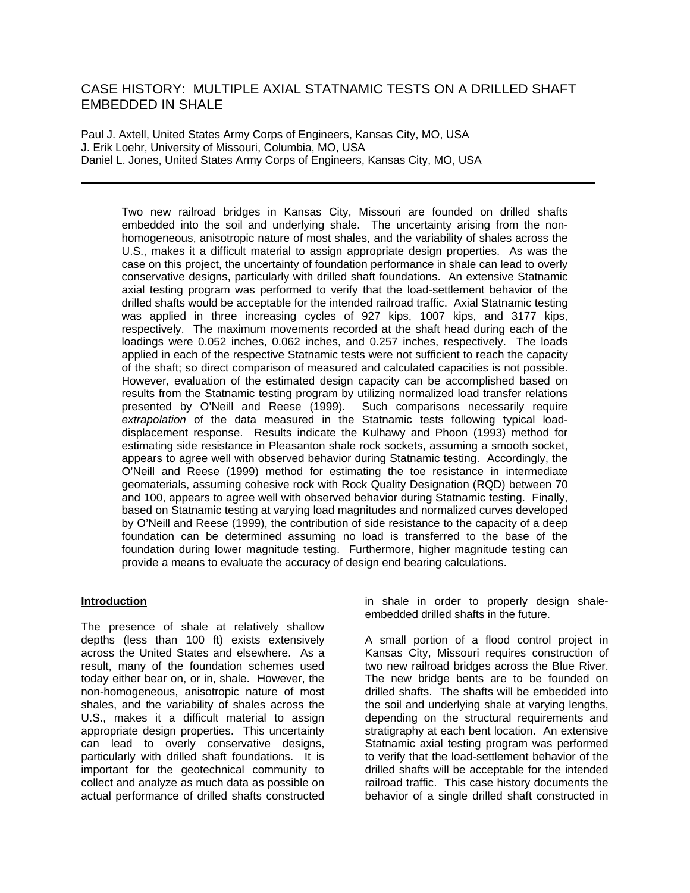# CASE HISTORY: MULTIPLE AXIAL STATNAMIC TESTS ON A DRILLED SHAFT EMBEDDED IN SHALE

Paul J. Axtell, United States Army Corps of Engineers, Kansas City, MO, USA J. Erik Loehr, University of Missouri, Columbia, MO, USA Daniel L. Jones, United States Army Corps of Engineers, Kansas City, MO, USA

Two new railroad bridges in Kansas City, Missouri are founded on drilled shafts embedded into the soil and underlying shale. The uncertainty arising from the nonhomogeneous, anisotropic nature of most shales, and the variability of shales across the U.S., makes it a difficult material to assign appropriate design properties. As was the case on this project, the uncertainty of foundation performance in shale can lead to overly conservative designs, particularly with drilled shaft foundations. An extensive Statnamic axial testing program was performed to verify that the load-settlement behavior of the drilled shafts would be acceptable for the intended railroad traffic. Axial Statnamic testing was applied in three increasing cycles of 927 kips, 1007 kips, and 3177 kips, respectively. The maximum movements recorded at the shaft head during each of the loadings were 0.052 inches, 0.062 inches, and 0.257 inches, respectively. The loads applied in each of the respective Statnamic tests were not sufficient to reach the capacity of the shaft; so direct comparison of measured and calculated capacities is not possible. However, evaluation of the estimated design capacity can be accomplished based on results from the Statnamic testing program by utilizing normalized load transfer relations presented by O'Neill and Reese (1999). Such comparisons necessarily require *extrapolation* of the data measured in the Statnamic tests following typical loaddisplacement response. Results indicate the Kulhawy and Phoon (1993) method for estimating side resistance in Pleasanton shale rock sockets, assuming a smooth socket, appears to agree well with observed behavior during Statnamic testing. Accordingly, the O'Neill and Reese (1999) method for estimating the toe resistance in intermediate geomaterials, assuming cohesive rock with Rock Quality Designation (RQD) between 70 and 100, appears to agree well with observed behavior during Statnamic testing. Finally, based on Statnamic testing at varying load magnitudes and normalized curves developed by O'Neill and Reese (1999), the contribution of side resistance to the capacity of a deep foundation can be determined assuming no load is transferred to the base of the foundation during lower magnitude testing. Furthermore, higher magnitude testing can provide a means to evaluate the accuracy of design end bearing calculations.

#### **Introduction**

The presence of shale at relatively shallow depths (less than 100 ft) exists extensively across the United States and elsewhere. As a result, many of the foundation schemes used today either bear on, or in, shale. However, the non-homogeneous, anisotropic nature of most shales, and the variability of shales across the U.S., makes it a difficult material to assign appropriate design properties. This uncertainty can lead to overly conservative designs, particularly with drilled shaft foundations. It is important for the geotechnical community to collect and analyze as much data as possible on actual performance of drilled shafts constructed in shale in order to properly design shaleembedded drilled shafts in the future.

A small portion of a flood control project in Kansas City, Missouri requires construction of two new railroad bridges across the Blue River. The new bridge bents are to be founded on drilled shafts. The shafts will be embedded into the soil and underlying shale at varying lengths, depending on the structural requirements and stratigraphy at each bent location. An extensive Statnamic axial testing program was performed to verify that the load-settlement behavior of the drilled shafts will be acceptable for the intended railroad traffic. This case history documents the behavior of a single drilled shaft constructed in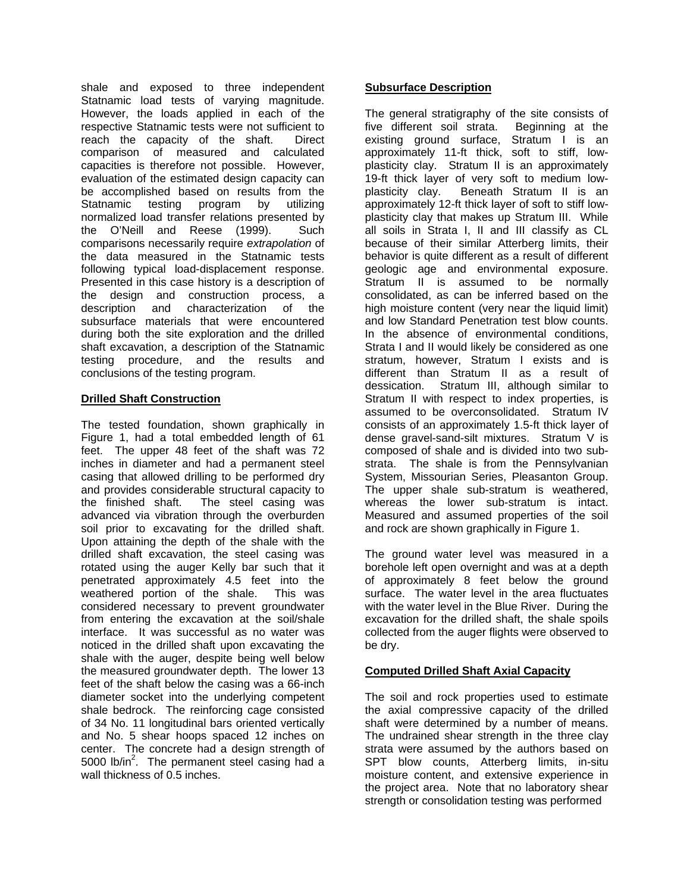shale and exposed to three independent Statnamic load tests of varying magnitude. However, the loads applied in each of the respective Statnamic tests were not sufficient to reach the capacity of the shaft. Direct comparison of measured and calculated capacities is therefore not possible. However, evaluation of the estimated design capacity can be accomplished based on results from the Statnamic testing program by utilizing normalized load transfer relations presented by the O'Neill and Reese (1999). Such comparisons necessarily require *extrapolation* of the data measured in the Statnamic tests following typical load-displacement response. Presented in this case history is a description of the design and construction process, a description and characterization of the subsurface materials that were encountered during both the site exploration and the drilled shaft excavation, a description of the Statnamic testing procedure, and the results and conclusions of the testing program.

## **Drilled Shaft Construction**

The tested foundation, shown graphically in Figure 1, had a total embedded length of 61 feet. The upper 48 feet of the shaft was 72 inches in diameter and had a permanent steel casing that allowed drilling to be performed dry and provides considerable structural capacity to the finished shaft. The steel casing was advanced via vibration through the overburden soil prior to excavating for the drilled shaft. Upon attaining the depth of the shale with the drilled shaft excavation, the steel casing was rotated using the auger Kelly bar such that it penetrated approximately 4.5 feet into the weathered portion of the shale. This was considered necessary to prevent groundwater from entering the excavation at the soil/shale interface. It was successful as no water was noticed in the drilled shaft upon excavating the shale with the auger, despite being well below the measured groundwater depth. The lower 13 feet of the shaft below the casing was a 66-inch diameter socket into the underlying competent shale bedrock. The reinforcing cage consisted of 34 No. 11 longitudinal bars oriented vertically and No. 5 shear hoops spaced 12 inches on center. The concrete had a design strength of 5000 lb/in<sup>2</sup>. The permanent steel casing had a wall thickness of 0.5 inches.

## **Subsurface Description**

The general stratigraphy of the site consists of five different soil strata. Beginning at the existing ground surface, Stratum I is an approximately 11-ft thick, soft to stiff, lowplasticity clay. Stratum II is an approximately 19-ft thick layer of very soft to medium lowplasticity clay. Beneath Stratum II is an approximately 12-ft thick layer of soft to stiff lowplasticity clay that makes up Stratum III. While all soils in Strata I, II and III classify as CL because of their similar Atterberg limits, their behavior is quite different as a result of different geologic age and environmental exposure. Stratum II is assumed to be normally consolidated, as can be inferred based on the high moisture content (very near the liquid limit) and low Standard Penetration test blow counts. In the absence of environmental conditions, Strata I and II would likely be considered as one stratum, however, Stratum I exists and is different than Stratum II as a result of dessication. Stratum III, although similar to Stratum II with respect to index properties, is assumed to be overconsolidated. Stratum IV consists of an approximately 1.5-ft thick layer of dense gravel-sand-silt mixtures. Stratum V is composed of shale and is divided into two substrata. The shale is from the Pennsylvanian System, Missourian Series, Pleasanton Group. The upper shale sub-stratum is weathered, whereas the lower sub-stratum is intact. Measured and assumed properties of the soil and rock are shown graphically in Figure 1.

The ground water level was measured in a borehole left open overnight and was at a depth of approximately 8 feet below the ground surface. The water level in the area fluctuates with the water level in the Blue River. During the excavation for the drilled shaft, the shale spoils collected from the auger flights were observed to be dry.

## **Computed Drilled Shaft Axial Capacity**

The soil and rock properties used to estimate the axial compressive capacity of the drilled shaft were determined by a number of means. The undrained shear strength in the three clay strata were assumed by the authors based on SPT blow counts, Atterberg limits, in-situ moisture content, and extensive experience in the project area. Note that no laboratory shear strength or consolidation testing was performed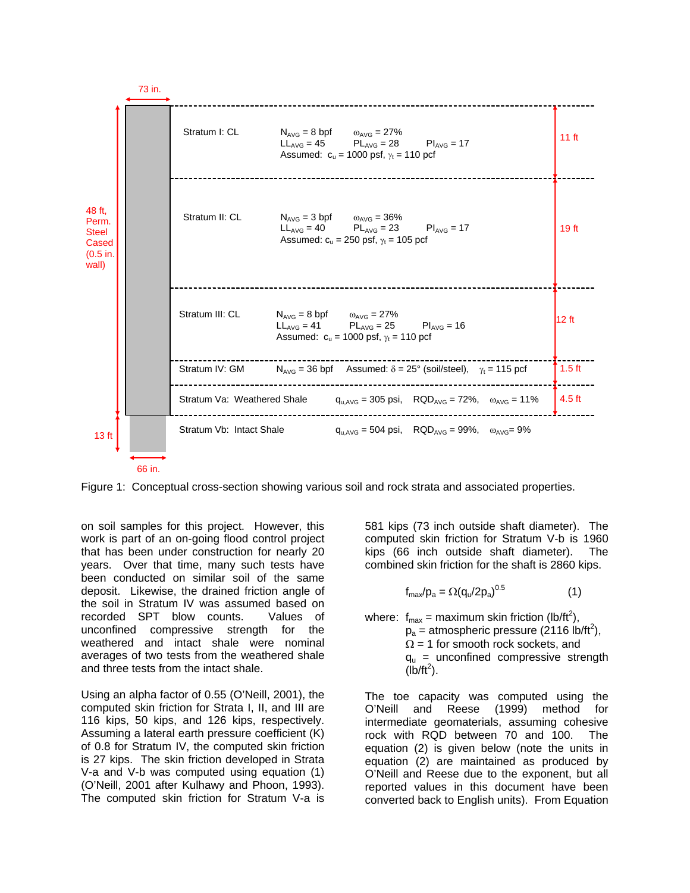

Figure 1: Conceptual cross-section showing various soil and rock strata and associated properties.

on soil samples for this project. However, this work is part of an on-going flood control project that has been under construction for nearly 20 years. Over that time, many such tests have been conducted on similar soil of the same deposit. Likewise, the drained friction angle of the soil in Stratum IV was assumed based on recorded SPT blow counts. Values of unconfined compressive strength for the weathered and intact shale were nominal averages of two tests from the weathered shale and three tests from the intact shale.

Using an alpha factor of 0.55 (O'Neill, 2001), the computed skin friction for Strata I, II, and III are 116 kips, 50 kips, and 126 kips, respectively. Assuming a lateral earth pressure coefficient (K) of 0.8 for Stratum IV, the computed skin friction is 27 kips. The skin friction developed in Strata V-a and V-b was computed using equation (1) (O'Neill, 2001 after Kulhawy and Phoon, 1993). The computed skin friction for Stratum V-a is

581 kips (73 inch outside shaft diameter). The computed skin friction for Stratum V-b is 1960 kips (66 inch outside shaft diameter). The combined skin friction for the shaft is 2860 kips.

$$
f_{\text{max}}/p_a = \Omega (q_u/2p_a)^{0.5} \tag{1}
$$

where:  $f_{\text{max}} = \text{maximum skin friction (lb/ft}^2),$  $p_a$  = atmospheric pressure (2116 lb/ft<sup>2</sup>),  $\Omega$  = 1 for smooth rock sockets, and  $q_u$  = unconfined compressive strength  $(i\bar{b}/\bar{t}t^2)$ .

The toe capacity was computed using the O'Neill and Reese (1999) method for intermediate geomaterials, assuming cohesive rock with RQD between 70 and 100. The equation (2) is given below (note the units in equation (2) are maintained as produced by O'Neill and Reese due to the exponent, but all reported values in this document have been converted back to English units). From Equation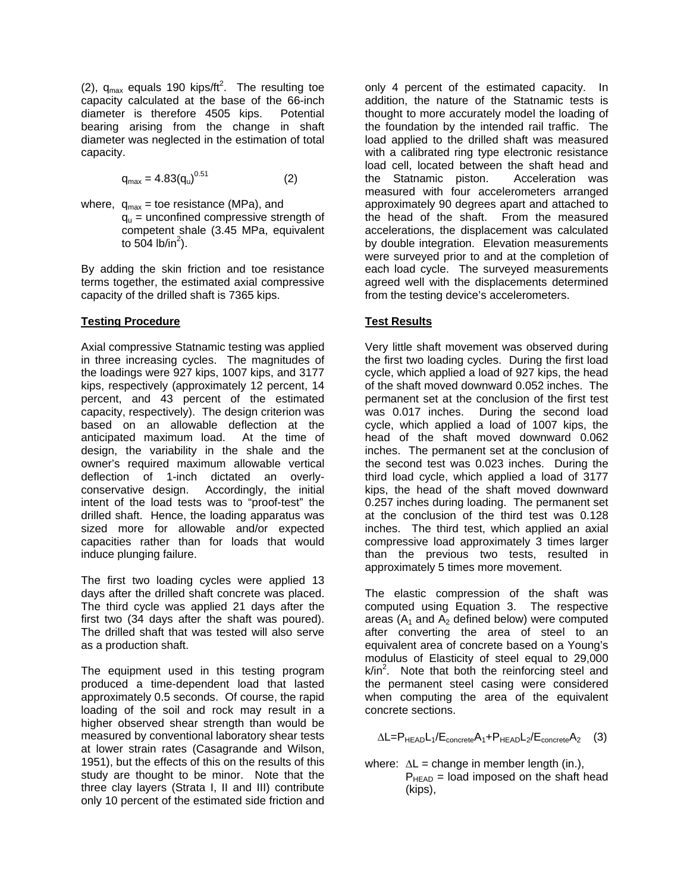(2),  $q_{\text{max}}$  equals 190 kips/ft<sup>2</sup>. The resulting toe capacity calculated at the base of the 66-inch diameter is therefore 4505 kips. Potential bearing arising from the change in shaft diameter was neglected in the estimation of total capacity.

$$
q_{\text{max}} = 4.83 (q_u)^{0.51} \tag{2}
$$

where,  $q_{max}$  = toe resistance (MPa), and  $q_u$  = unconfined compressive strength of competent shale (3.45 MPa, equivalent to 504 lb/in<sup>2</sup>).

By adding the skin friction and toe resistance terms together, the estimated axial compressive capacity of the drilled shaft is 7365 kips.

#### **Testing Procedure**

Axial compressive Statnamic testing was applied in three increasing cycles. The magnitudes of the loadings were 927 kips, 1007 kips, and 3177 kips, respectively (approximately 12 percent, 14 percent, and 43 percent of the estimated capacity, respectively). The design criterion was based on an allowable deflection at the anticipated maximum load. At the time of design, the variability in the shale and the owner's required maximum allowable vertical deflection of 1-inch dictated an overlyconservative design. Accordingly, the initial intent of the load tests was to "proof-test" the drilled shaft. Hence, the loading apparatus was sized more for allowable and/or expected capacities rather than for loads that would induce plunging failure.

The first two loading cycles were applied 13 days after the drilled shaft concrete was placed. The third cycle was applied 21 days after the first two (34 days after the shaft was poured). The drilled shaft that was tested will also serve as a production shaft.

The equipment used in this testing program produced a time-dependent load that lasted approximately 0.5 seconds. Of course, the rapid loading of the soil and rock may result in a higher observed shear strength than would be measured by conventional laboratory shear tests at lower strain rates (Casagrande and Wilson, 1951), but the effects of this on the results of this study are thought to be minor. Note that the three clay layers (Strata I, II and III) contribute only 10 percent of the estimated side friction and

only 4 percent of the estimated capacity. In addition, the nature of the Statnamic tests is thought to more accurately model the loading of the foundation by the intended rail traffic. The load applied to the drilled shaft was measured with a calibrated ring type electronic resistance load cell, located between the shaft head and the Statnamic piston. Acceleration was measured with four accelerometers arranged approximately 90 degrees apart and attached to the head of the shaft. From the measured accelerations, the displacement was calculated by double integration. Elevation measurements were surveyed prior to and at the completion of each load cycle. The surveyed measurements agreed well with the displacements determined from the testing device's accelerometers.

## **Test Results**

Very little shaft movement was observed during the first two loading cycles. During the first load cycle, which applied a load of 927 kips, the head of the shaft moved downward 0.052 inches. The permanent set at the conclusion of the first test was 0.017 inches. During the second load cycle, which applied a load of 1007 kips, the head of the shaft moved downward 0.062 inches. The permanent set at the conclusion of the second test was 0.023 inches. During the third load cycle, which applied a load of 3177 kips, the head of the shaft moved downward 0.257 inches during loading. The permanent set at the conclusion of the third test was 0.128 inches. The third test, which applied an axial compressive load approximately 3 times larger than the previous two tests, resulted in approximately 5 times more movement.

The elastic compression of the shaft was computed using Equation 3. The respective areas ( $A_1$  and  $A_2$  defined below) were computed after converting the area of steel to an equivalent area of concrete based on a Young's modulus of Elasticity of steel equal to 29,000  $k/in<sup>2</sup>$ . Note that both the reinforcing steel and the permanent steel casing were considered when computing the area of the equivalent concrete sections.

 $\Delta L = P_{HEAD}L_1/E_{\text{concrete}}A_1 + P_{HEAD}L_2/E_{\text{concrete}}A_2$  (3)

where:  $\Delta L$  = change in member length (in.),

 $P_{HEAD}$  = load imposed on the shaft head (kips),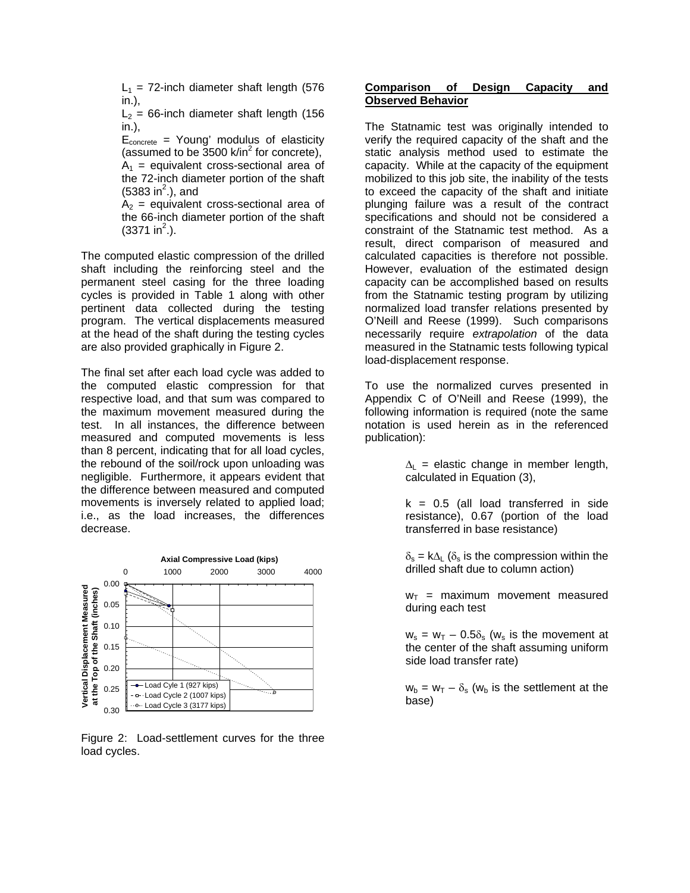$L_1$  = 72-inch diameter shaft length (576 in.),

 $L_2$  = 66-inch diameter shaft length (156 in.).

 $E_{\text{concrete}}$  = Young' modulus of elasticity  $(assumed to be 3500 k/in<sup>2</sup> for concrete),$  $A_1$  = equivalent cross-sectional area of

the 72-inch diameter portion of the shaft  $(5383 in<sup>2</sup>.)$ , and

 $A_2$  = equivalent cross-sectional area of the 66-inch diameter portion of the shaft  $(3371 \text{ in}^2)$ .

The computed elastic compression of the drilled shaft including the reinforcing steel and the permanent steel casing for the three loading cycles is provided in Table 1 along with other pertinent data collected during the testing program. The vertical displacements measured at the head of the shaft during the testing cycles are also provided graphically in Figure 2.

The final set after each load cycle was added to the computed elastic compression for that respective load, and that sum was compared to the maximum movement measured during the test. In all instances, the difference between measured and computed movements is less than 8 percent, indicating that for all load cycles, the rebound of the soil/rock upon unloading was negligible. Furthermore, it appears evident that the difference between measured and computed movements is inversely related to applied load; i.e., as the load increases, the differences decrease.



Figure 2: Load-settlement curves for the three load cycles.

#### **Comparison of Design Capacity and Observed Behavior**

The Statnamic test was originally intended to verify the required capacity of the shaft and the static analysis method used to estimate the capacity. While at the capacity of the equipment mobilized to this job site, the inability of the tests to exceed the capacity of the shaft and initiate plunging failure was a result of the contract specifications and should not be considered a constraint of the Statnamic test method. As a result, direct comparison of measured and calculated capacities is therefore not possible. However, evaluation of the estimated design capacity can be accomplished based on results from the Statnamic testing program by utilizing normalized load transfer relations presented by O'Neill and Reese (1999). Such comparisons necessarily require *extrapolation* of the data measured in the Statnamic tests following typical load-displacement response.

To use the normalized curves presented in Appendix C of O'Neill and Reese (1999), the following information is required (note the same notation is used herein as in the referenced publication):

> $\Delta_L$  = elastic change in member length, calculated in Equation (3),

> $k = 0.5$  (all load transferred in side resistance), 0.67 (portion of the load transferred in base resistance)

> $\delta_s = k \Delta_l$  ( $\delta_s$  is the compression within the drilled shaft due to column action)

> $w_T$  = maximum movement measured during each test

> $w_s = w_T - 0.5\delta_s$  (w<sub>s</sub> is the movement at the center of the shaft assuming uniform side load transfer rate)

> $w_b = w_T - \delta_s$  (w<sub>b</sub> is the settlement at the base)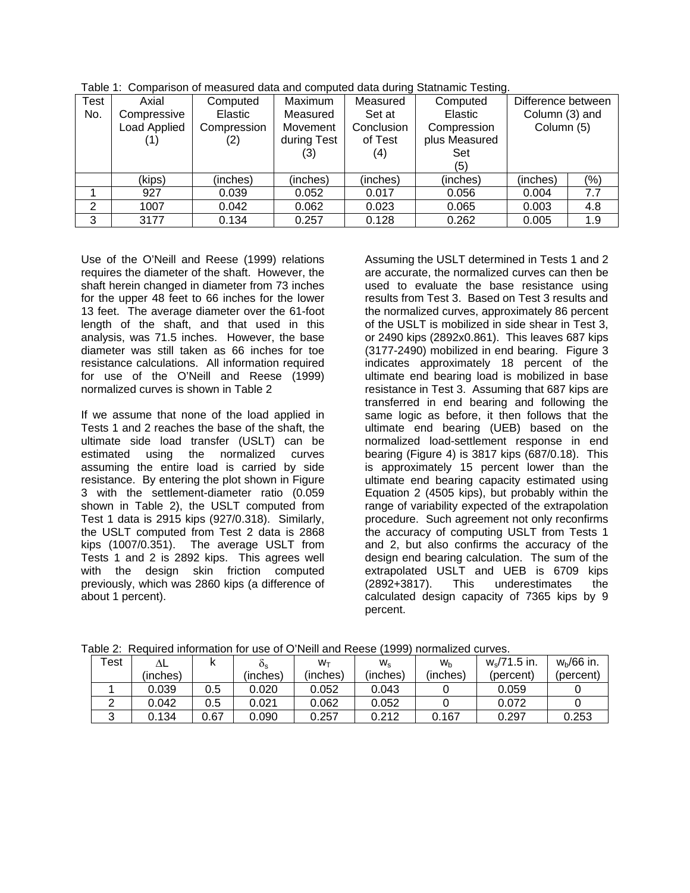| <b>Test</b> | Axial        | Computed    | Maximum     | Measured   | Computed      | Difference between |     |
|-------------|--------------|-------------|-------------|------------|---------------|--------------------|-----|
| No.         | Compressive  | Elastic     | Measured    | Set at     | Elastic       | Column (3) and     |     |
|             | Load Applied | Compression | Movement    | Conclusion | Compression   | Column (5)         |     |
|             |              | (2)         | during Test | of Test    | plus Measured |                    |     |
|             |              |             | (3)         | (4)        | Set           |                    |     |
|             |              |             |             |            | (5)           |                    |     |
|             | (kips)       | (inches)    | (inches)    | (inches)   | (inches)      | (inches)           | (%) |
|             | 927          | 0.039       | 0.052       | 0.017      | 0.056         | 0.004              | 7.7 |
| 2           | 1007         | 0.042       | 0.062       | 0.023      | 0.065         | 0.003              | 4.8 |
| 3           | 3177         | 0.134       | 0.257       | 0.128      | 0.262         | 0.005              | 1.9 |

Table 1: Comparison of measured data and computed data during Statnamic Testing.

Use of the O'Neill and Reese (1999) relations requires the diameter of the shaft. However, the shaft herein changed in diameter from 73 inches for the upper 48 feet to 66 inches for the lower 13 feet. The average diameter over the 61-foot length of the shaft, and that used in this analysis, was 71.5 inches. However, the base diameter was still taken as 66 inches for toe resistance calculations. All information required for use of the O'Neill and Reese (1999) normalized curves is shown in Table 2

If we assume that none of the load applied in Tests 1 and 2 reaches the base of the shaft, the ultimate side load transfer (USLT) can be estimated using the normalized curves assuming the entire load is carried by side resistance. By entering the plot shown in Figure 3 with the settlement-diameter ratio (0.059 shown in Table 2), the USLT computed from Test 1 data is 2915 kips (927/0.318). Similarly, the USLT computed from Test 2 data is 2868 kips (1007/0.351). The average USLT from Tests 1 and 2 is 2892 kips. This agrees well with the design skin friction computed previously, which was 2860 kips (a difference of about 1 percent).

Assuming the USLT determined in Tests 1 and 2 are accurate, the normalized curves can then be used to evaluate the base resistance using results from Test 3. Based on Test 3 results and the normalized curves, approximately 86 percent of the USLT is mobilized in side shear in Test 3, or 2490 kips (2892x0.861). This leaves 687 kips (3177-2490) mobilized in end bearing. Figure 3 indicates approximately 18 percent of the ultimate end bearing load is mobilized in base resistance in Test 3. Assuming that 687 kips are transferred in end bearing and following the same logic as before, it then follows that the ultimate end bearing (UEB) based on the normalized load-settlement response in end bearing (Figure 4) is 3817 kips (687/0.18). This is approximately 15 percent lower than the ultimate end bearing capacity estimated using Equation 2 (4505 kips), but probably within the range of variability expected of the extrapolation procedure. Such agreement not only reconfirms the accuracy of computing USLT from Tests 1 and 2, but also confirms the accuracy of the design end bearing calculation. The sum of the extrapolated USLT and UEB is 6709 kips (2892+3817). This underestimates the calculated design capacity of 7365 kips by 9 percent.

| Test | ΔL       |      | $\mathbf{U}_\mathbf{S}$ | $W_{T}$  | $W_{\rm s}$ | W <sub>b</sub> | $w_s/71.5$ in. | $w_{b}/66$ in. |
|------|----------|------|-------------------------|----------|-------------|----------------|----------------|----------------|
|      | (inches) |      | (inches)                | (inches) | (inches)    | (inches)       | (percent)      | (percent)      |
|      | 0.039    | 0.5  | 0.020                   | 0.052    | 0.043       |                | 0.059          |                |
|      | 0.042    | 0.5  | 0.021                   | 0.062    | 0.052       |                | 0.072          |                |
|      | 0.134    | 0.67 | 0.090                   | 0.257    | 0.212       | 0.167          | 0.297          | 0.253          |

Table 2: Required information for use of O'Neill and Reese (1999) normalized curves.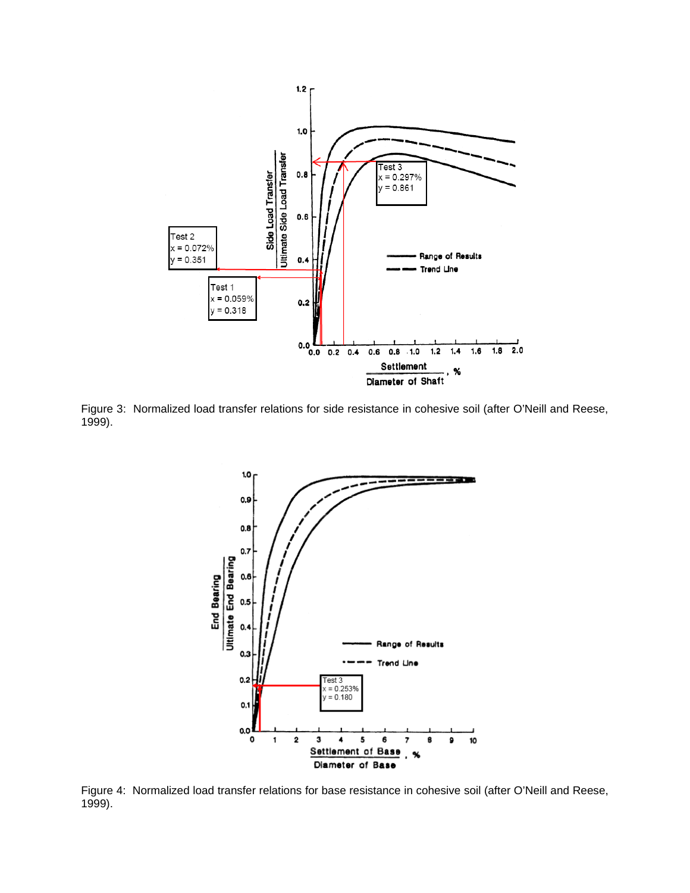

Figure 3: Normalized load transfer relations for side resistance in cohesive soil (after O'Neill and Reese, 1999).



Figure 4: Normalized load transfer relations for base resistance in cohesive soil (after O'Neill and Reese, 1999).